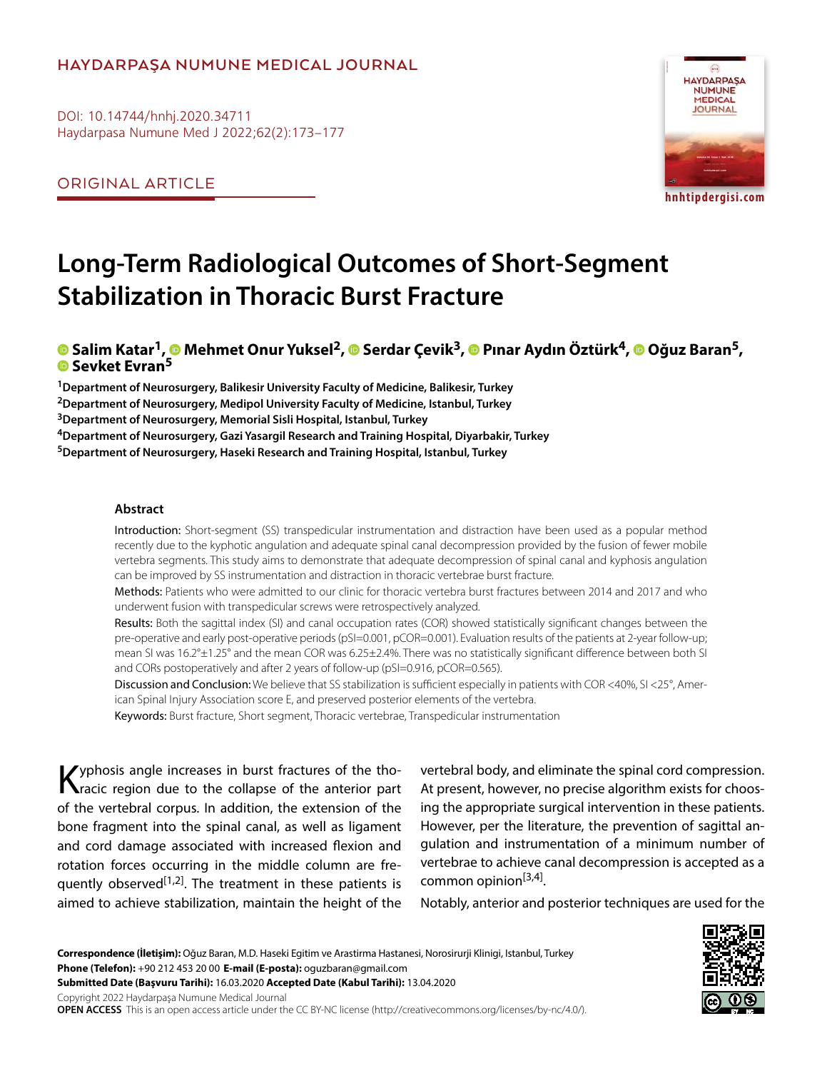#### **HAYDARPAŞA NUMUNE MEDICAL JOURNAL**

DOI: 10.14744/hnhj.2020.34711 Haydarpasa Numune Med J 2022;62(2):173–177

ORIGINAL ARTICLE



## **Long-Term Radiological Outcomes of Short-Segment Stabilization in Thoracic Burst Fracture**

# **Salim Katar1[,](https://orcid.org/0000-0003-0922-4249) Mehmet Onur Yuksel2,Serdar Çevik3,Pınar Aydın Öztürk4,Oğuz Baran5,Sevket Evran[5](https://orcid.org/0000-0003-0922-4249)**

**1Department of Neurosurgery, Balikesir University Faculty of Medicine, Balikesir, Turkey 2Department of Neurosurgery, Medipol University Faculty of Medicine, Istanbul, Turkey 3Department of Neurosurgery, Memorial Sisli Hospital, Istanbul, Turkey 4Department of Neurosurgery, Gazi Yasargil Research and Training Hospital, Diyarbakir, Turkey 5Department of Neurosurgery, Haseki Research and Training Hospital, Istanbul, Turkey**

#### **Abstract**

Introduction: Short-segment (SS) transpedicular instrumentation and distraction have been used as a popular method recently due to the kyphotic angulation and adequate spinal canal decompression provided by the fusion of fewer mobile vertebra segments. This study aims to demonstrate that adequate decompression of spinal canal and kyphosis angulation can be improved by SS instrumentation and distraction in thoracic vertebrae burst fracture.

Methods: Patients who were admitted to our clinic for thoracic vertebra burst fractures between 2014 and 2017 and who underwent fusion with transpedicular screws were retrospectively analyzed.

Results: Both the sagittal index (SI) and canal occupation rates (COR) showed statistically significant changes between the pre-operative and early post-operative periods (pSI=0.001, pCOR=0.001). Evaluation results of the patients at 2-year follow-up; mean SI was 16.2°±1.25° and the mean COR was 6.25±2.4%. There was no statistically significant difference between both SI and CORs postoperatively and after 2 years of follow-up (pSI=0.916, pCOR=0.565).

Discussion and Conclusion: We believe that SS stabilization is sufficient especially in patients with COR <40%, SI <25°, American Spinal Injury Association score E, and preserved posterior elements of the vertebra.

Keywords: Burst fracture, Short segment, Thoracic vertebrae, Transpedicular instrumentation

Kyphosis angle increases in burst fractures of the tho-racic region due to the collapse of the anterior part of the vertebral corpus. In addition, the extension of the bone fragment into the spinal canal, as well as ligament and cord damage associated with increased flexion and rotation forces occurring in the middle column are frequently observed<sup>[1,2]</sup>. The treatment in these patients is aimed to achieve stabilization, maintain the height of the

vertebral body, and eliminate the spinal cord compression. At present, however, no precise algorithm exists for choosing the appropriate surgical intervention in these patients. However, per the literature, the prevention of sagittal angulation and instrumentation of a minimum number of vertebrae to achieve canal decompression is accepted as a common opinion $[3,4]$ .

Notably, anterior and posterior techniques are used for the

**Correspondence (İletişim):** Oğuz Baran, M.D. Haseki Egitim ve Arastirma Hastanesi, Norosirurji Klinigi, Istanbul, Turkey **Phone (Telefon):** +90 212 453 20 00 **E-mail (E-posta):** oguzbaran@gmail.com **Submitted Date (Başvuru Tarihi):** 16.03.2020 **Accepted Date (Kabul Tarihi):** 13.04.2020 Copyright 2022 Haydarpaşa Numune Medical Journal

**OPEN ACCESS** This is an open access article under the CC BY-NC license (http://creativecommons.org/licenses/by-nc/4.0/).

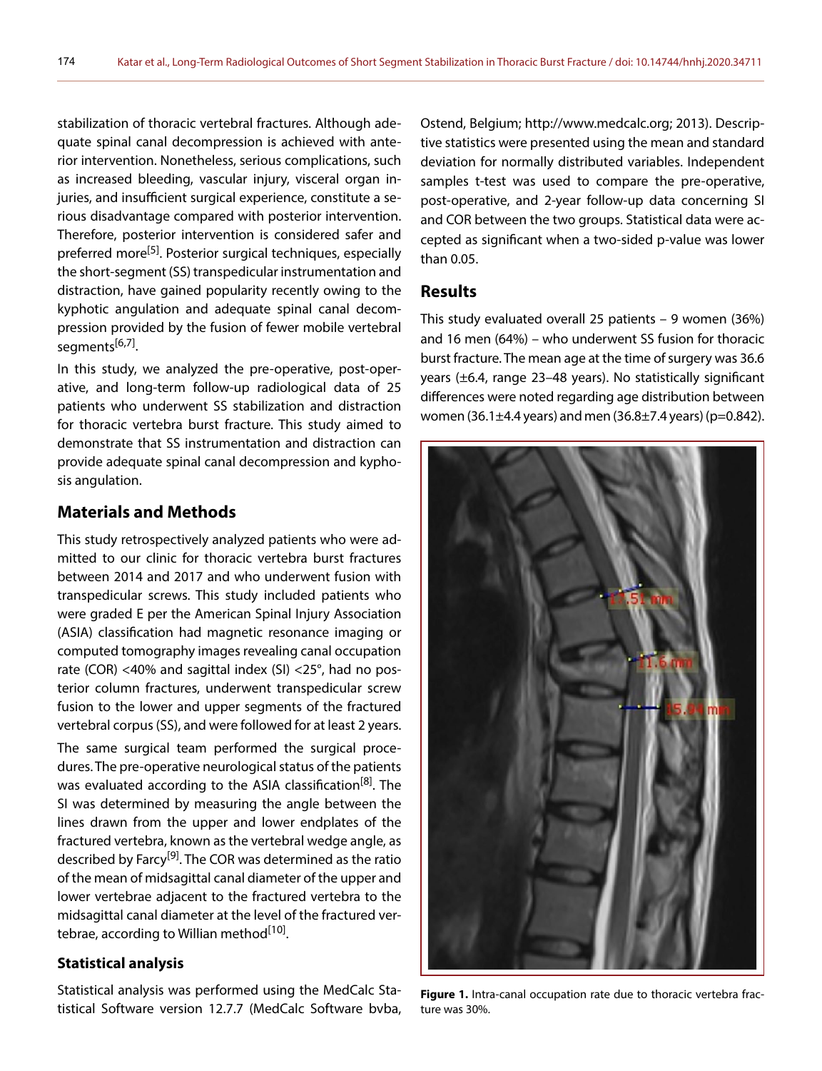stabilization of thoracic vertebral fractures. Although adequate spinal canal decompression is achieved with anterior intervention. Nonetheless, serious complications, such as increased bleeding, vascular injury, visceral organ injuries, and insufficient surgical experience, constitute a serious disadvantage compared with posterior intervention. Therefore, posterior intervention is considered safer and preferred more<sup>[5]</sup>. Posterior surgical techniques, especially the short-segment (SS) transpedicular instrumentation and distraction, have gained popularity recently owing to the kyphotic angulation and adequate spinal canal decompression provided by the fusion of fewer mobile vertebral segments<sup>[6,7]</sup>.

In this study, we analyzed the pre-operative, post-operative, and long-term follow-up radiological data of 25 patients who underwent SS stabilization and distraction for thoracic vertebra burst fracture. This study aimed to demonstrate that SS instrumentation and distraction can provide adequate spinal canal decompression and kyphosis angulation.

#### **Materials and Methods**

This study retrospectively analyzed patients who were admitted to our clinic for thoracic vertebra burst fractures between 2014 and 2017 and who underwent fusion with transpedicular screws. This study included patients who were graded E per the American Spinal Injury Association (ASIA) classification had magnetic resonance imaging or computed tomography images revealing canal occupation rate (COR) <40% and sagittal index (SI) <25°, had no posterior column fractures, underwent transpedicular screw fusion to the lower and upper segments of the fractured vertebral corpus (SS), and were followed for at least 2 years.

The same surgical team performed the surgical procedures. The pre-operative neurological status of the patients was evaluated according to the ASIA classification<sup>[8]</sup>. The SI was determined by measuring the angle between the lines drawn from the upper and lower endplates of the fractured vertebra, known as the vertebral wedge angle, as described by Farcy<sup>[9]</sup>. The COR was determined as the ratio of the mean of midsagittal canal diameter of the upper and lower vertebrae adjacent to the fractured vertebra to the midsagittal canal diameter at the level of the fractured vertebrae, according to Willian method<sup>[10]</sup>.

#### **Statistical analysis**

Statistical analysis was performed using the MedCalc Statistical Software version 12.7.7 (MedCalc Software bvba,

Ostend, Belgium; http://www.medcalc.org; 2013). Descriptive statistics were presented using the mean and standard deviation for normally distributed variables. Independent samples t-test was used to compare the pre-operative, post-operative, and 2-year follow-up data concerning SI and COR between the two groups. Statistical data were accepted as significant when a two-sided p-value was lower than 0.05.

#### **Results**

This study evaluated overall 25 patients – 9 women (36%) and 16 men (64%) – who underwent SS fusion for thoracic burst fracture. The mean age at the time of surgery was 36.6 years (±6.4, range 23–48 years). No statistically significant differences were noted regarding age distribution between women (36.1 $\pm$ 4.4 years) and men (36.8 $\pm$ 7.4 years) (p=0.842).



**Figure 1.** Intra-canal occupation rate due to thoracic vertebra fracture was 30%.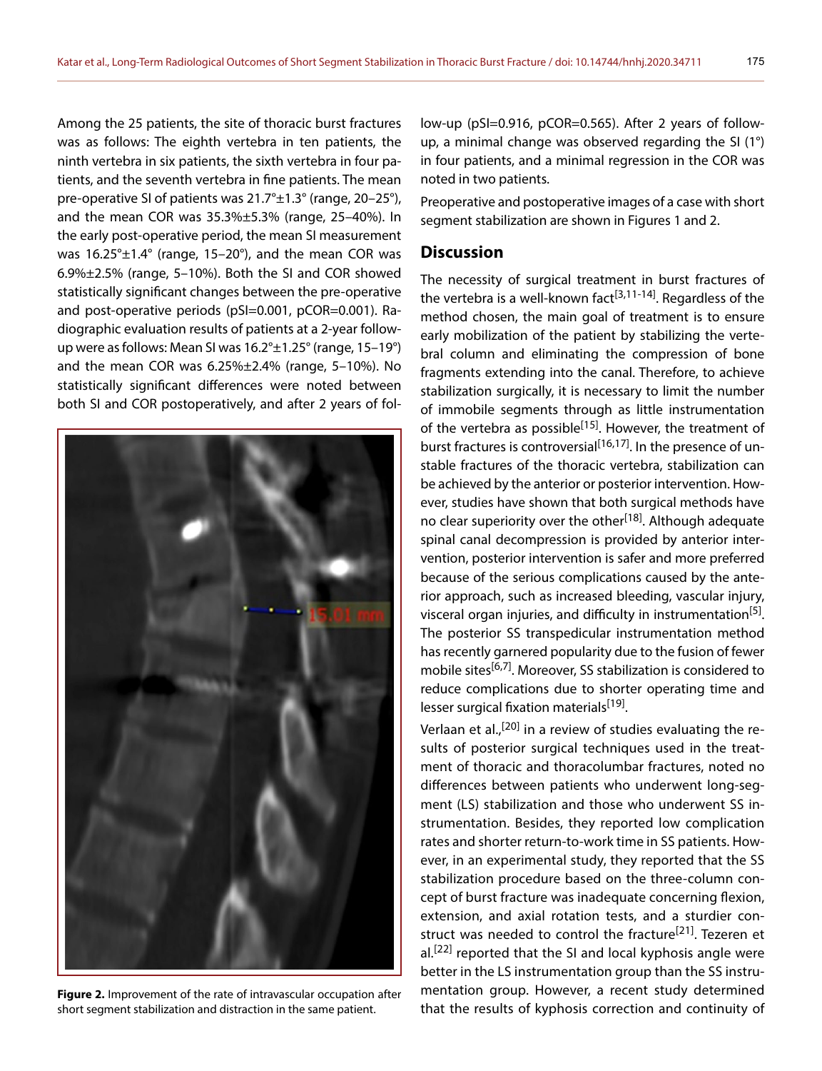Among the 25 patients, the site of thoracic burst fractures was as follows: The eighth vertebra in ten patients, the ninth vertebra in six patients, the sixth vertebra in four patients, and the seventh vertebra in fine patients. The mean pre-operative SI of patients was 21.7°±1.3° (range, 20–25°), and the mean COR was 35.3%±5.3% (range, 25–40%). In the early post-operative period, the mean SI measurement was 16.25°±1.4° (range, 15–20°), and the mean COR was 6.9%±2.5% (range, 5–10%). Both the SI and COR showed statistically significant changes between the pre-operative and post-operative periods (pSI=0.001, pCOR=0.001). Radiographic evaluation results of patients at a 2-year followup were as follows: Mean SI was 16.2°±1.25° (range, 15–19°) and the mean COR was 6.25%±2.4% (range, 5–10%). No statistically significant differences were noted between both SI and COR postoperatively, and after 2 years of fol-



**Figure 2.** Improvement of the rate of intravascular occupation after short segment stabilization and distraction in the same patient.

low-up (pSI=0.916, pCOR=0.565). After 2 years of followup, a minimal change was observed regarding the SI (1°) in four patients, and a minimal regression in the COR was noted in two patients.

Preoperative and postoperative images of a case with short segment stabilization are shown in Figures 1 and 2.

### **Discussion**

The necessity of surgical treatment in burst fractures of the vertebra is a well-known fact<sup>[3,11-14]</sup>. Regardless of the method chosen, the main goal of treatment is to ensure early mobilization of the patient by stabilizing the vertebral column and eliminating the compression of bone fragments extending into the canal. Therefore, to achieve stabilization surgically, it is necessary to limit the number of immobile segments through as little instrumentation of the vertebra as possible<sup>[15]</sup>. However, the treatment of burst fractures is controversial<sup>[16,17]</sup>. In the presence of unstable fractures of the thoracic vertebra, stabilization can be achieved by the anterior or posterior intervention. However, studies have shown that both surgical methods have no clear superiority over the other<sup>[18]</sup>. Although adequate spinal canal decompression is provided by anterior intervention, posterior intervention is safer and more preferred because of the serious complications caused by the anterior approach, such as increased bleeding, vascular injury, visceral organ injuries, and difficulty in instrumentation<sup>[5]</sup>. The posterior SS transpedicular instrumentation method has recently garnered popularity due to the fusion of fewer mobile sites<sup>[6,7]</sup>. Moreover, SS stabilization is considered to reduce complications due to shorter operating time and lesser surgical fixation materials<sup>[19]</sup>.

Verlaan et al.,<sup>[20]</sup> in a review of studies evaluating the results of posterior surgical techniques used in the treatment of thoracic and thoracolumbar fractures, noted no differences between patients who underwent long-segment (LS) stabilization and those who underwent SS instrumentation. Besides, they reported low complication rates and shorter return-to-work time in SS patients. However, in an experimental study, they reported that the SS stabilization procedure based on the three-column concept of burst fracture was inadequate concerning flexion, extension, and axial rotation tests, and a sturdier construct was needed to control the fracture<sup>[21]</sup>. Tezeren et al.<sup>[22]</sup> reported that the SI and local kyphosis angle were better in the LS instrumentation group than the SS instrumentation group. However, a recent study determined that the results of kyphosis correction and continuity of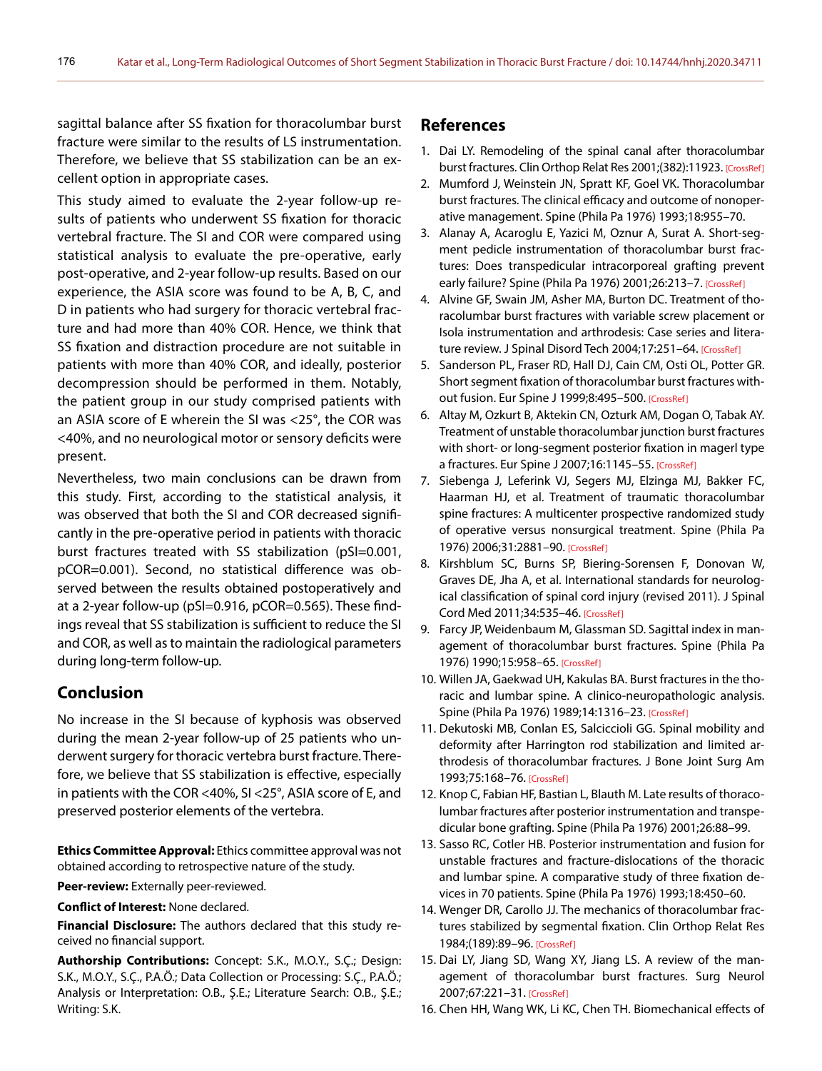sagittal balance after SS fixation for thoracolumbar burst fracture were similar to the results of LS instrumentation. Therefore, we believe that SS stabilization can be an excellent option in appropriate cases.

This study aimed to evaluate the 2-year follow-up results of patients who underwent SS fixation for thoracic vertebral fracture. The SI and COR were compared using statistical analysis to evaluate the pre-operative, early post-operative, and 2-year follow-up results. Based on our experience, the ASIA score was found to be A, B, C, and D in patients who had surgery for thoracic vertebral fracture and had more than 40% COR. Hence, we think that SS fixation and distraction procedure are not suitable in patients with more than 40% COR, and ideally, posterior decompression should be performed in them. Notably, the patient group in our study comprised patients with an ASIA score of E wherein the SI was <25°, the COR was <40%, and no neurological motor or sensory deficits were present.

Nevertheless, two main conclusions can be drawn from this study. First, according to the statistical analysis, it was observed that both the SI and COR decreased significantly in the pre-operative period in patients with thoracic burst fractures treated with SS stabilization (pSI=0.001, pCOR=0.001). Second, no statistical difference was observed between the results obtained postoperatively and at a 2-year follow-up (pSI=0.916, pCOR=0.565). These findings reveal that SS stabilization is sufficient to reduce the SI and COR, as well as to maintain the radiological parameters during long-term follow-up.

#### **Conclusion**

No increase in the SI because of kyphosis was observed during the mean 2-year follow-up of 25 patients who underwent surgery for thoracic vertebra burst fracture. Therefore, we believe that SS stabilization is effective, especially in patients with the COR <40%, SI <25°, ASIA score of E, and preserved posterior elements of the vertebra.

**Ethics Committee Approval:** Ethics committee approval was not obtained according to retrospective nature of the study.

**Peer-review:** Externally peer-reviewed.

**Conflict of Interest:** None declared.

**Financial Disclosure:** The authors declared that this study received no financial support.

**Authorship Contributions:** Concept: S.K., M.O.Y., S.Ç.; Design: S.K., M.O.Y., S.Ç., P.A.Ö.; Data Collection or Processing: S.Ç., P.A.Ö.; Analysis or Interpretation: O.B., Ş.E.; Literature Search: O.B., Ş.E.; Writing: S.K.

#### **References**

- 1. Dai LY. Remodeling of the spinal canal after thoracolumbar burst fractures. Clin Orthop Relat Res 2001;(382):11923. [\[CrossRef\]](https://doi.org/10.1097/00003086-200101000-00018)
- 2. Mumford J, Weinstein JN, Spratt KF, Goel VK. Thoracolumbar burst fractures. The clinical efficacy and outcome of nonoperative management. Spine (Phila Pa 1976) [1993;18:955–70.](https://doi.org/10.1097/00007632-199306150-00003)
- 3. Alanay A, Acaroglu E, Yazici M, Oznur A, Surat A. Short-segment pedicle instrumentation of thoracolumbar burst fractures: Does transpedicular intracorporeal grafting prevent early failure? Spine (Phila Pa 1976) 2001;26:213–7. [\[CrossRef\]](https://doi.org/10.1097/00007632-200101150-00017)
- 4. Alvine GF, Swain JM, Asher MA, Burton DC. Treatment of thoracolumbar burst fractures with variable screw placement or Isola instrumentation and arthrodesis: Case series and litera-ture review. J Spinal Disord Tech 2004;17:251-64. [\[CrossRef\]](https://doi.org/10.1097/01.bsd.0000095827.98982.88)
- 5. Sanderson PL, Fraser RD, Hall DJ, Cain CM, Osti OL, Potter GR. Short segment fixation of thoracolumbar burst fractures without fusion. Eur Spine J 1999;8:495–500. [\[CrossRef\]](https://doi.org/10.1007/s005860050212)
- 6. Altay M, Ozkurt B, Aktekin CN, Ozturk AM, Dogan O, Tabak AY. Treatment of unstable thoracolumbar junction burst fractures with short- or long-segment posterior fixation in magerl type a fractures. Eur Spine J 2007;16:1145–55. [\[CrossRef\]](https://doi.org/10.1007/s00586-007-0310-5)
- 7. Siebenga J, Leferink VJ, Segers MJ, Elzinga MJ, Bakker FC, Haarman HJ, et al. Treatment of traumatic thoracolumbar spine fractures: A multicenter prospective randomized study of operative versus nonsurgical treatment. Spine (Phila Pa 1976) 2006;31:2881–90. [\[CrossRef\]](https://doi.org/10.1097/01.brs.0000247804.91869.1e)
- 8. Kirshblum SC, Burns SP, Biering-Sorensen F, Donovan W, Graves DE, Jha A, et al. International standards for neurological classification of spinal cord injury (revised 2011). J Spinal Cord Med 2011;34:535–46. [\[CrossRef\]](https://doi.org/10.1179/204577211X13207446293695)
- 9. Farcy JP, Weidenbaum M, Glassman SD. Sagittal index in management of thoracolumbar burst fractures. Spine (Phila Pa 1976) 1990;15:958–65[. \[CrossRef\]](https://doi.org/10.1097/00007632-199009000-00022)
- 10. Willen JA, Gaekwad UH, Kakulas BA. Burst fractures in the thoracic and lumbar spine. A clinico-neuropathologic analysis. Spine (Phila Pa 1976) 1989;14:1316–23. [\[CrossRef\]](https://doi.org/10.1097/00007632-198912000-00008)
- 11. Dekutoski MB, Conlan ES, Salciccioli GG. Spinal mobility and deformity after Harrington rod stabilization and limited arthrodesis of thoracolumbar fractures. J Bone Joint Surg Am 1993;75:168–76[. \[CrossRef\]](https://doi.org/10.2106/00004623-199302000-00003)
- 12. Knop C, Fabian HF, Bastian L, Blauth M. Late results of thoracolumbar fractures after posterior instrumentation and transpedicular bone grafting. Spine (Phila Pa 1976) [2001;26:88–99.](https://doi.org/10.1097/00007632-200101010-00016)
- 13. Sasso RC, Cotler HB. Posterior instrumentation and fusion for unstable fractures and fracture-dislocations of the thoracic and lumbar spine. A comparative study of three fixation devices in 70 patients. Spine (Phila Pa 1976) [1993;18:450–60.](https://doi.org/10.1097/00007632-199303010-00008)
- 14. Wenger DR, Carollo JJ. The mechanics of thoracolumbar fractures stabilized by segmental fixation. Clin Orthop Relat Res 1984;(189):89–96. [\[CrossRef\]](https://doi.org/10.1097/00003086-198410000-00010)
- 15. Dai LY, Jiang SD, Wang XY, Jiang LS. A review of the management of thoracolumbar burst fractures. Surg Neurol 2007;67:221–31. [\[CrossRef\]](https://doi.org/10.1016/j.surneu.2006.08.081)
- 16. Chen HH, Wang WK, Li KC, Chen TH. Biomechanical effects of